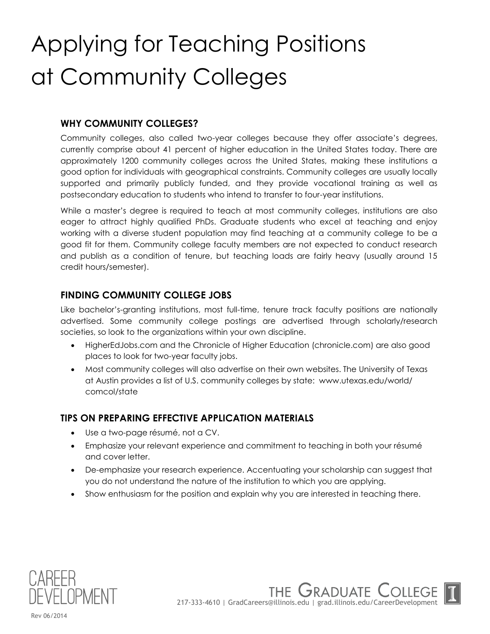# Applying for Teaching Positions at Community Colleges

### **WHY COMMUNITY COLLEGES?**

Community colleges, also called two-year colleges because they offer associate's degrees, currently comprise about 41 percent of higher education in the United States today. There are approximately 1200 community colleges across the United States, making these institutions a good option for individuals with geographical constraints. Community colleges are usually locally supported and primarily publicly funded, and they provide vocational training as well as postsecondary education to students who intend to transfer to four-year institutions.

While a master's degree is required to teach at most community colleges, institutions are also eager to attract highly qualified PhDs. Graduate students who excel at teaching and enjoy working with a diverse student population may find teaching at a community college to be a good fit for them. Community college faculty members are not expected to conduct research and publish as a condition of tenure, but teaching loads are fairly heavy (usually around 15 credit hours/semester).

### **FINDING COMMUNITY COLLEGE JOBS**

Like bachelor's-granting institutions, most full-time, tenure track faculty positions are nationally advertised. Some community college postings are advertised through scholarly/research societies, so look to the organizations within your own discipline.

- HigherEdJobs.com and the Chronicle of Higher Education (chronicle.com) are also good places to look for two-year faculty jobs.
- Most community colleges will also advertise on their own websites. The University of Texas at Austin provides a list of U.S. community colleges by state: www.utexas.edu/world/ comcol/state

### **TIPS ON PREPARING EFFECTIVE APPLICATION MATERIALS**

- Use a two-page résumé, not a CV.
- Emphasize your relevant experience and commitment to teaching in both your résumé and cover letter.
- De-emphasize your research experience. Accentuating your scholarship can suggest that you do not understand the nature of the institution to which you are applying.
- Show enthusiasm for the position and explain why you are interested in teaching there.



THE GRADUATE ( 217-333-4610 | GradCareers@illinois.edu | grad.illinois.edu/CareerDevelopment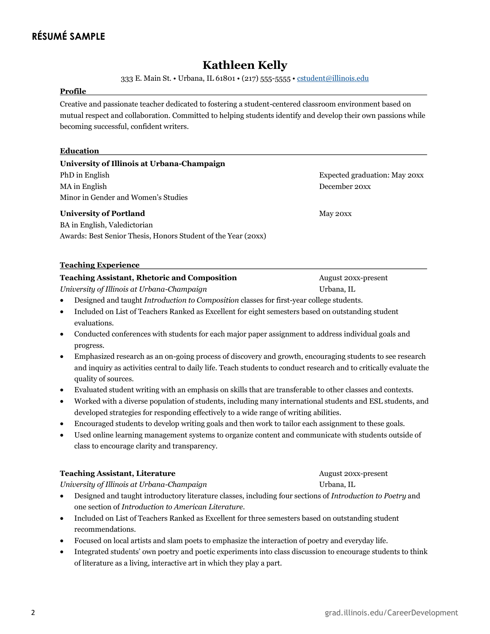## **RÉSUMÉ SAMPLE**

### **Kathleen Kelly**

333 E. Main St. • Urbana, IL 61801 • (217) 555-5555 • [cstudent@illinois.edu](mailto:cstudent@illinois.edu)

### **Profile**

Creative and passionate teacher dedicated to fostering a student-centered classroom environment based on mutual respect and collaboration. Committed to helping students identify and develop their own passions while becoming successful, confident writers.

### **Education**

### **University of Illinois at Urbana-Champaign**

PhD in English Expected graduation: May 20xx MA in English December 20xx Minor in Gender and Women's Studies

### **University of Portland** May 20xx

BA in English, Valedictorian Awards: Best Senior Thesis, Honors Student of the Year (20xx)

### **Teaching Experience**

### **Teaching Assistant, Rhetoric and Composition** August 20xx-present

*University of Illinois at Urbana-Champaign* Urbana, IL

**Teaching Assistant, Literature** August 20xx-present

- Designed and taught *Introduction to Composition* classes for first-year college students.
- Included on List of Teachers Ranked as Excellent for eight semesters based on outstanding student evaluations.
- Conducted conferences with students for each major paper assignment to address individual goals and progress.
- Emphasized research as an on-going process of discovery and growth, encouraging students to see research and inquiry as activities central to daily life. Teach students to conduct research and to critically evaluate the quality of sources.
- Evaluated student writing with an emphasis on skills that are transferable to other classes and contexts.
- Worked with a diverse population of students, including many international students and ESL students, and developed strategies for responding effectively to a wide range of writing abilities.
- Encouraged students to develop writing goals and then work to tailor each assignment to these goals.
- Used online learning management systems to organize content and communicate with students outside of class to encourage clarity and transparency.

| <b>Teaching Assistant, Literature</b> |  |
|---------------------------------------|--|
|---------------------------------------|--|

*University of Illinois at Urbana-Champaign* Urbana, IL

- Designed and taught introductory literature classes, including four sections of *Introduction to Poetry* and one section of *Introduction to American Literature*.
- Included on List of Teachers Ranked as Excellent for three semesters based on outstanding student recommendations.
- Focused on local artists and slam poets to emphasize the interaction of poetry and everyday life.
- Integrated students' own poetry and poetic experiments into class discussion to encourage students to think of literature as a living, interactive art in which they play a part.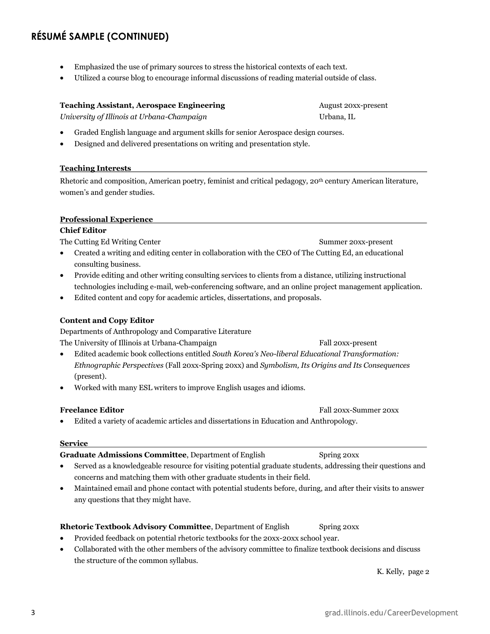### **RÉSUMÉ SAMPLE (CONTINUED)**

- Emphasized the use of primary sources to stress the historical contexts of each text.
- Utilized a course blog to encourage informal discussions of reading material outside of class.

### **Teaching Assistant, Aerospace Engineering Teaching August 20xx-present**

*University of Illinois at Urbana-Champaign* and the Urbana, IL

- Graded English language and argument skills for senior Aerospace design courses.
- Designed and delivered presentations on writing and presentation style.

### **Teaching Interests**

Rhetoric and composition, American poetry, feminist and critical pedagogy, 20th century American literature, women's and gender studies.

### **Professional Experience**

### **Chief Editor**

The Cutting Ed Writing Center Summer 20xx-present

- Created a writing and editing center in collaboration with the CEO of The Cutting Ed, an educational consulting business.
- Provide editing and other writing consulting services to clients from a distance, utilizing instructional technologies including e-mail, web-conferencing software, and an online project management application.
- Edited content and copy for academic articles, dissertations, and proposals.

### **Content and Copy Editor**

Departments of Anthropology and Comparative Literature

The University of Illinois at Urbana-Champaign Fall 20xx-present

- Edited academic book collections entitled *South Korea's Neo-liberal Educational Transformation: Ethnographic Perspectives* (Fall 20xx-Spring 20xx) and *Symbolism, Its Origins and Its Consequences*  (present).
- Worked with many ESL writers to improve English usages and idioms.

**Freelance Editor** Fall 20xx-Summer 20xx

Edited a variety of academic articles and dissertations in Education and Anthropology.

### **Service**

### **Graduate Admissions Committee**, Department of English Spring 20xx

- Served as a knowledgeable resource for visiting potential graduate students, addressing their questions and concerns and matching them with other graduate students in their field.
- Maintained email and phone contact with potential students before, during, and after their visits to answer any questions that they might have.

### **Rhetoric Textbook Advisory Committee**, Department of English Spring 20xx

- Provided feedback on potential rhetoric textbooks for the 20xx-20xx school year.
- Collaborated with the other members of the advisory committee to finalize textbook decisions and discuss the structure of the common syllabus.

K. Kelly, page 2

### 3 grad.illinois.edu/CareerDevelopment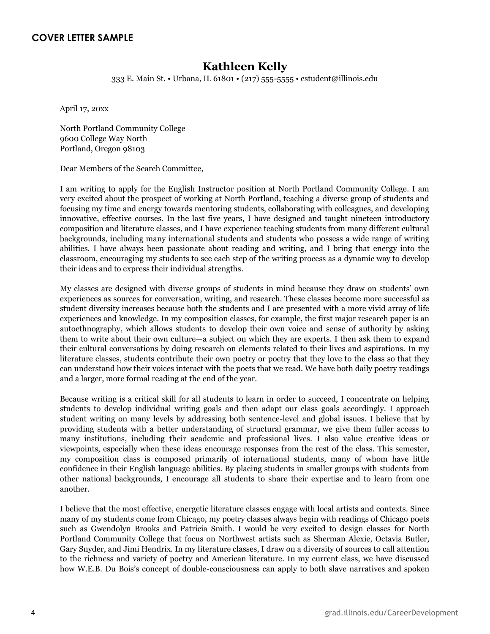### **Kathleen Kelly**

333 E. Main St. • Urbana, IL 61801 • (217) 555-5555 • cstudent@illinois.edu

April 17, 20xx

North Portland Community College 9600 College Way North Portland, Oregon 98103

Dear Members of the Search Committee,

I am writing to apply for the English Instructor position at North Portland Community College. I am very excited about the prospect of working at North Portland, teaching a diverse group of students and focusing my time and energy towards mentoring students, collaborating with colleagues, and developing innovative, effective courses. In the last five years, I have designed and taught nineteen introductory composition and literature classes, and I have experience teaching students from many different cultural backgrounds, including many international students and students who possess a wide range of writing abilities. I have always been passionate about reading and writing, and I bring that energy into the classroom, encouraging my students to see each step of the writing process as a dynamic way to develop their ideas and to express their individual strengths.

My classes are designed with diverse groups of students in mind because they draw on students' own experiences as sources for conversation, writing, and research. These classes become more successful as student diversity increases because both the students and I are presented with a more vivid array of life experiences and knowledge. In my composition classes, for example, the first major research paper is an autoethnography, which allows students to develop their own voice and sense of authority by asking them to write about their own culture—a subject on which they are experts. I then ask them to expand their cultural conversations by doing research on elements related to their lives and aspirations. In my literature classes, students contribute their own poetry or poetry that they love to the class so that they can understand how their voices interact with the poets that we read. We have both daily poetry readings and a larger, more formal reading at the end of the year.

Because writing is a critical skill for all students to learn in order to succeed, I concentrate on helping students to develop individual writing goals and then adapt our class goals accordingly. I approach student writing on many levels by addressing both sentence-level and global issues. I believe that by providing students with a better understanding of structural grammar, we give them fuller access to many institutions, including their academic and professional lives. I also value creative ideas or viewpoints, especially when these ideas encourage responses from the rest of the class. This semester, my composition class is composed primarily of international students, many of whom have little confidence in their English language abilities. By placing students in smaller groups with students from other national backgrounds, I encourage all students to share their expertise and to learn from one another.

I believe that the most effective, energetic literature classes engage with local artists and contexts. Since many of my students come from Chicago, my poetry classes always begin with readings of Chicago poets such as Gwendolyn Brooks and Patricia Smith. I would be very excited to design classes for North Portland Community College that focus on Northwest artists such as Sherman Alexie, Octavia Butler, Gary Snyder, and Jimi Hendrix. In my literature classes, I draw on a diversity of sources to call attention to the richness and variety of poetry and American literature. In my current class, we have discussed how W.E.B. Du Bois's concept of double-consciousness can apply to both slave narratives and spoken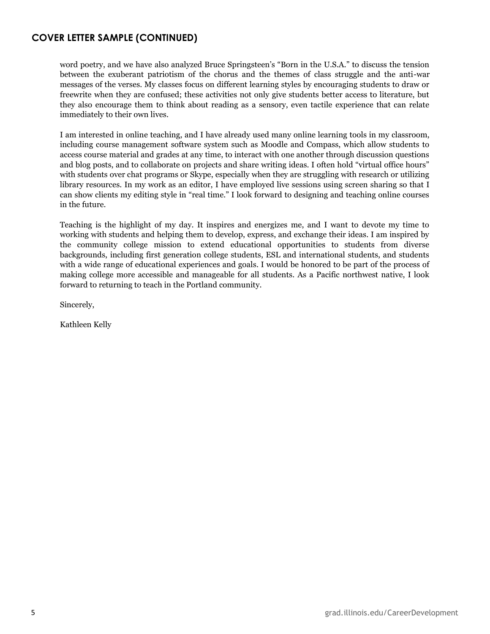### **COVER LETTER SAMPLE (CONTINUED)**

word poetry, and we have also analyzed Bruce Springsteen's "Born in the U.S.A." to discuss the tension between the exuberant patriotism of the chorus and the themes of class struggle and the anti-war messages of the verses. My classes focus on different learning styles by encouraging students to draw or freewrite when they are confused; these activities not only give students better access to literature, but they also encourage them to think about reading as a sensory, even tactile experience that can relate immediately to their own lives.

I am interested in online teaching, and I have already used many online learning tools in my classroom, including course management software system such as Moodle and Compass, which allow students to access course material and grades at any time, to interact with one another through discussion questions and blog posts, and to collaborate on projects and share writing ideas. I often hold "virtual office hours" with students over chat programs or Skype, especially when they are struggling with research or utilizing library resources. In my work as an editor, I have employed live sessions using screen sharing so that I can show clients my editing style in "real time." I look forward to designing and teaching online courses in the future.

Teaching is the highlight of my day. It inspires and energizes me, and I want to devote my time to working with students and helping them to develop, express, and exchange their ideas. I am inspired by the community college mission to extend educational opportunities to students from diverse backgrounds, including first generation college students, ESL and international students, and students with a wide range of educational experiences and goals. I would be honored to be part of the process of making college more accessible and manageable for all students. As a Pacific northwest native, I look forward to returning to teach in the Portland community.

Sincerely,

Kathleen Kelly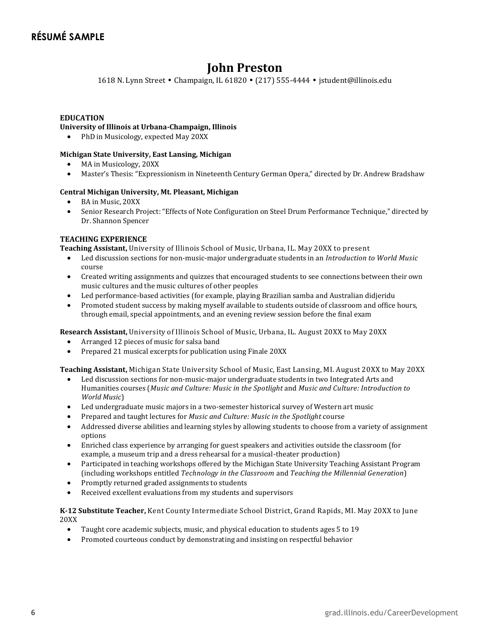### **John Preston**

1618 N. Lynn Street • Champaign, IL 61820 • (217) 555-4444 • jstudent@illinois.edu

#### **EDUCATION**

### **University of Illinois at Urbana-Champaign, Illinois**

• PhD in Musicology, expected May 20XX

#### **Michigan State University, East Lansing, Michigan**

- MA in Musicology, 20XX
- Master's Thesis: "Expressionism in Nineteenth Century German Opera," directed by Dr. Andrew Bradshaw

#### **Central Michigan University, Mt. Pleasant, Michigan**

- BA in Music, 20XX
- Senior Research Project: "Effects of Note Configuration on Steel Drum Performance Technique," directed by Dr. Shannon Spencer

### **TEACHING EXPERIENCE**

**Teaching Assistant,** University of Illinois School of Music, Urbana, IL. May 20XX to present

- Led discussion sections for non-music-major undergraduate students in an *Introduction to World Music* course
- Created writing assignments and quizzes that encouraged students to see connections between their own music cultures and the music cultures of other peoples
- Led performance-based activities (for example, playing Brazilian samba and Australian didjeridu
- Promoted student success by making myself available to students outside of classroom and office hours, through email, special appointments, and an evening review session before the final exam

**Research Assistant,** University of Illinois School of Music, Urbana, IL. August 20XX to May 20XX

- Arranged 12 pieces of music for salsa band
- Prepared 21 musical excerpts for publication using Finale 20XX

**Teaching Assistant,** Michigan State University School of Music, East Lansing, MI. August 20XX to May 20XX

- Led discussion sections for non-music-major undergraduate students in two Integrated Arts and Humanities courses (*Music and Culture: Music in the Spotlight* and *Music and Culture: Introduction to World Music*)
- Led undergraduate music majors in a two-semester historical survey of Western art music
- Prepared and taught lectures for *Music and Culture: Music in the Spotlight* course
- Addressed diverse abilities and learning styles by allowing students to choose from a variety of assignment options
- Enriched class experience by arranging for guest speakers and activities outside the classroom (for example, a museum trip and a dress rehearsal for a musical-theater production)
- Participated in teaching workshops offered by the Michigan State University Teaching Assistant Program (including workshops entitled *Technology in the Classroom* and *Teaching the Millennial Generation*)
- Promptly returned graded assignments to students
- Received excellent evaluations from my students and supervisors

**K-12 Substitute Teacher,** Kent County Intermediate School District, Grand Rapids, MI. May 20XX to June 20XX

- Taught core academic subjects, music, and physical education to students ages 5 to 19
- Promoted courteous conduct by demonstrating and insisting on respectful behavior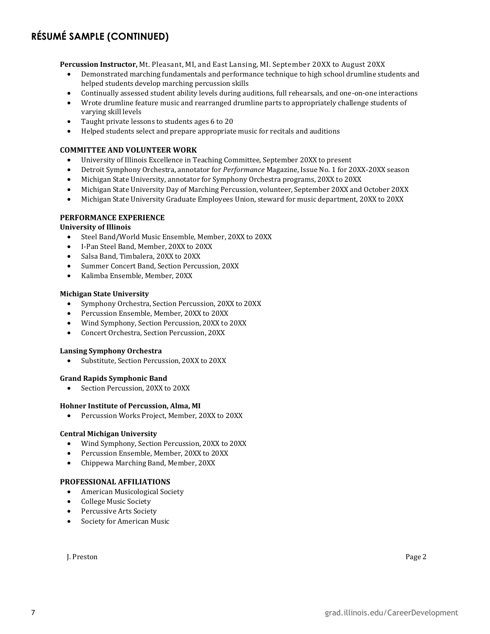### **RÉSUMÉ SAMPLE (CONTINUED)**

**Percussion Instructor,** Mt. Pleasant, MI, and East Lansing, MI. September 20XX to August 20XX

- Demonstrated marching fundamentals and performance technique to high school drumline students and helped students develop marching percussion skills
- Continually assessed student ability levels during auditions, full rehearsals, and one-on-one interactions
- Wrote drumline feature music and rearranged drumline parts to appropriately challenge students of varying skill levels
- Taught private lessons to students ages 6 to 20
- Helped students select and prepare appropriate music for recitals and auditions

### **COMMITTEE AND VOLUNTEER WORK**

- University of Illinois Excellence in Teaching Committee, September 20XX to present
- Detroit Symphony Orchestra, annotator for *Performance* Magazine, Issue No. 1 for 20XX-20XX season
- Michigan State University, annotator for Symphony Orchestra programs, 20XX to 20XX
- Michigan State University Day of Marching Percussion, volunteer, September 20XX and October 20XX
- Michigan State University Graduate Employees Union, steward for music department, 20XX to 20XX

### **PERFORMANCE EXPERIENCE**

#### **University of Illinois**

- Steel Band/World Music Ensemble, Member, 20XX to 20XX
- I-Pan Steel Band, Member, 20XX to 20XX
- Salsa Band, Timbalera, 20XX to 20XX
- Summer Concert Band, Section Percussion, 20XX
- Kalimba Ensemble, Member, 20XX

#### **Michigan State University**

- Symphony Orchestra, Section Percussion, 20XX to 20XX
- Percussion Ensemble, Member, 20XX to 20XX
- Wind Symphony, Section Percussion, 20XX to 20XX
- Concert Orchestra, Section Percussion, 20XX

#### **Lansing Symphony Orchestra**

Substitute, Section Percussion, 20XX to 20XX

#### **Grand Rapids Symphonic Band**

Section Percussion, 20XX to 20XX

#### **Hohner Institute of Percussion, Alma, MI**

Percussion Works Project, Member, 20XX to 20XX

#### **Central Michigan University**

- Wind Symphony, Section Percussion, 20XX to 20XX
- Percussion Ensemble, Member, 20XX to 20XX
- Chippewa Marching Band, Member, 20XX

### **PROFESSIONAL AFFILIATIONS**

- American Musicological Society
- College Music Society
- Percussive Arts Society
- Society for American Music

J. Preston Page 2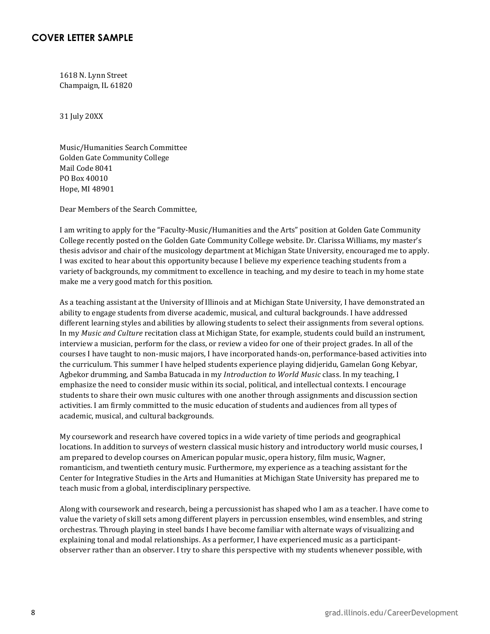### **COVER LETTER SAMPLE**

1618 N. Lynn Street Champaign, IL 61820

31 July 20XX

Music/Humanities Search Committee Golden Gate Community College Mail Code 8041 PO Box 40010 Hope, MI 48901

Dear Members of the Search Committee,

I am writing to apply for the "Faculty-Music/Humanities and the Arts" position at Golden Gate Community College recently posted on the Golden Gate Community College website. Dr. Clarissa Williams, my master's thesis advisor and chair of the musicology department at Michigan State University, encouraged me to apply. I was excited to hear about this opportunity because I believe my experience teaching students from a variety of backgrounds, my commitment to excellence in teaching, and my desire to teach in my home state make me a very good match for this position.

As a teaching assistant at the University of Illinois and at Michigan State University, I have demonstrated an ability to engage students from diverse academic, musical, and cultural backgrounds. I have addressed different learning styles and abilities by allowing students to select their assignments from several options. In my *Music and Culture* recitation class at Michigan State, for example, students could build an instrument, interview a musician, perform for the class, or review a video for one of their project grades. In all of the courses I have taught to non-music majors, I have incorporated hands-on, performance-based activities into the curriculum. This summer I have helped students experience playing didjeridu, Gamelan Gong Kebyar, Agbekor drumming, and Samba Batucada in my *Introduction to World Music* class. In my teaching, I emphasize the need to consider music within its social, political, and intellectual contexts. I encourage students to share their own music cultures with one another through assignments and discussion section activities. I am firmly committed to the music education of students and audiences from all types of academic, musical, and cultural backgrounds.

My coursework and research have covered topics in a wide variety of time periods and geographical locations. In addition to surveys of western classical music history and introductory world music courses, I am prepared to develop courses on American popular music, opera history, film music, Wagner, romanticism, and twentieth century music. Furthermore, my experience as a teaching assistant for the Center for Integrative Studies in the Arts and Humanities at Michigan State University has prepared me to teach music from a global, interdisciplinary perspective.

Along with coursework and research, being a percussionist has shaped who I am as a teacher. I have come to value the variety of skill sets among different players in percussion ensembles, wind ensembles, and string orchestras. Through playing in steel bands I have become familiar with alternate ways of visualizing and explaining tonal and modal relationships. As a performer, I have experienced music as a participantobserver rather than an observer. I try to share this perspective with my students whenever possible, with